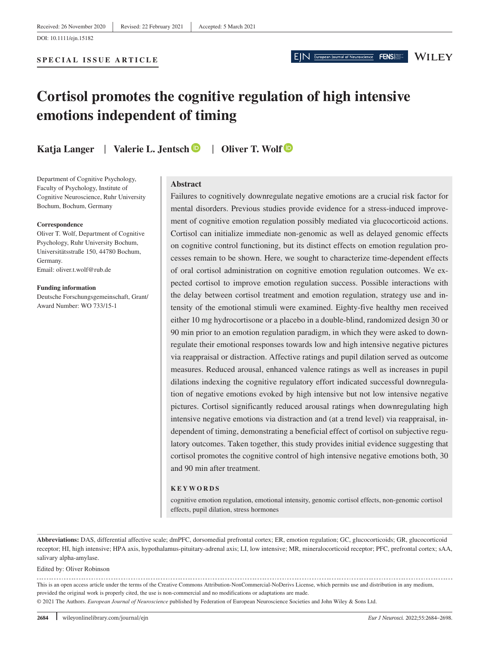# **Cortisol promotes the cognitive regulation of high intensive emotions independent of timing**

**Katja Langer** | **Valerie L. Jentsch** | **Oliver T. Wolf**

Department of Cognitive Psychology, Faculty of Psychology, Institute of Cognitive Neuroscience, Ruhr University Bochum, Bochum, Germany

#### **Correspondence**

Oliver T. Wolf, Department of Cognitive Psychology, Ruhr University Bochum, Universitätsstraße 150, 44780 Bochum, Germany. Email: [oliver.t.wolf@rub.de](mailto:oliver.t.wolf@rub.de)

**Funding information** Deutsche Forschungsgemeinschaft, Grant/ Award Number: WO 733/15-1

#### **Abstract**

Failures to cognitively downregulate negative emotions are a crucial risk factor for mental disorders. Previous studies provide evidence for a stress-induced improvement of cognitive emotion regulation possibly mediated via glucocorticoid actions. Cortisol can initialize immediate non-genomic as well as delayed genomic effects on cognitive control functioning, but its distinct effects on emotion regulation processes remain to be shown. Here, we sought to characterize time-dependent effects of oral cortisol administration on cognitive emotion regulation outcomes. We expected cortisol to improve emotion regulation success. Possible interactions with the delay between cortisol treatment and emotion regulation, strategy use and intensity of the emotional stimuli were examined. Eighty-five healthy men received either 10 mg hydrocortisone or a placebo in a double-blind, randomized design 30 or 90 min prior to an emotion regulation paradigm, in which they were asked to downregulate their emotional responses towards low and high intensive negative pictures via reappraisal or distraction. Affective ratings and pupil dilation served as outcome measures. Reduced arousal, enhanced valence ratings as well as increases in pupil dilations indexing the cognitive regulatory effort indicated successful downregulation of negative emotions evoked by high intensive but not low intensive negative pictures. Cortisol significantly reduced arousal ratings when downregulating high intensive negative emotions via distraction and (at a trend level) via reappraisal, independent of timing, demonstrating a beneficial effect of cortisol on subjective regulatory outcomes. Taken together, this study provides initial evidence suggesting that cortisol promotes the cognitive control of high intensive negative emotions both, 30 and 90 min after treatment.

#### **KEYWORDS**

cognitive emotion regulation, emotional intensity, genomic cortisol effects, non-genomic cortisol effects, pupil dilation, stress hormones

**Abbreviations:** DAS, differential affective scale; dmPFC, dorsomedial prefrontal cortex; ER, emotion regulation; GC, glucocorticoids; GR, glucocorticoid receptor; HI, high intensive; HPA axis, hypothalamus-pituitary-adrenal axis; LI, low intensive; MR, mineralocorticoid receptor; PFC, prefrontal cortex; sAA, salivary alpha-amylase.

Edited by: Oliver Robinson

This is an open access article under the terms of the [Creative Commons Attribution-NonCommercial-NoDerivs](http://creativecommons.org/licenses/by-nc-nd/4.0/) License, which permits use and distribution in any medium, provided the original work is properly cited, the use is non-commercial and no modifications or adaptations are made. © 2021 The Authors. *European Journal of Neuroscience* published by Federation of European Neuroscience Societies and John Wiley & Sons Ltd.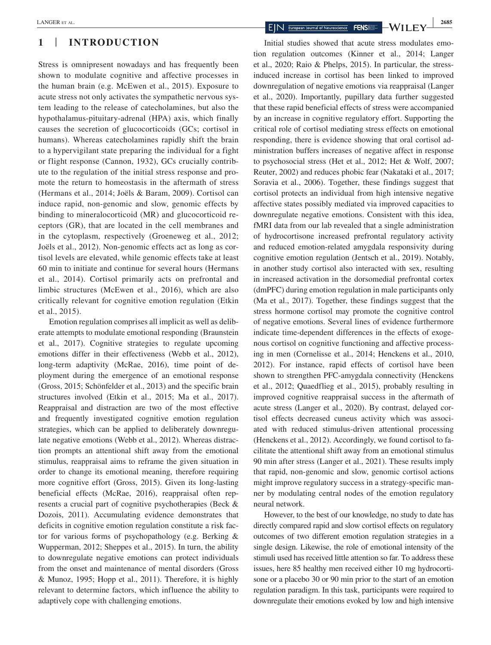# **1** | **INTRODUCTION**

Stress is omnipresent nowadays and has frequently been shown to modulate cognitive and affective processes in the human brain (e.g. McEwen et al., 2015). Exposure to acute stress not only activates the sympathetic nervous system leading to the release of catecholamines, but also the hypothalamus-pituitary-adrenal (HPA) axis, which finally causes the secretion of glucocorticoids (GCs; cortisol in humans). Whereas catecholamines rapidly shift the brain to a hypervigilant state preparing the individual for a fight or flight response (Cannon, 1932), GCs crucially contribute to the regulation of the initial stress response and promote the return to homeostasis in the aftermath of stress (Hermans et al., 2014; Joëls & Baram, 2009). Cortisol can induce rapid, non-genomic and slow, genomic effects by binding to mineralocorticoid (MR) and glucocorticoid receptors (GR), that are located in the cell membranes and in the cytoplasm, respectively (Groeneweg et al., 2012; Joëls et al., 2012). Non-genomic effects act as long as cortisol levels are elevated, while genomic effects take at least 60 min to initiate and continue for several hours (Hermans et al., 2014). Cortisol primarily acts on prefrontal and limbic structures (McEwen et al., 2016), which are also critically relevant for cognitive emotion regulation (Etkin et al., 2015).

Emotion regulation comprises all implicit as well as deliberate attempts to modulate emotional responding (Braunstein et al., 2017). Cognitive strategies to regulate upcoming emotions differ in their effectiveness (Webb et al., 2012), long-term adaptivity (McRae, 2016), time point of deployment during the emergence of an emotional response (Gross, 2015; Schönfelder et al., 2013) and the specific brain structures involved (Etkin et al., 2015; Ma et al., 2017). Reappraisal and distraction are two of the most effective and frequently investigated cognitive emotion regulation strategies, which can be applied to deliberately downregulate negative emotions (Webb et al., 2012). Whereas distraction prompts an attentional shift away from the emotional stimulus, reappraisal aims to reframe the given situation in order to change its emotional meaning, therefore requiring more cognitive effort (Gross, 2015). Given its long-lasting beneficial effects (McRae, 2016), reappraisal often represents a crucial part of cognitive psychotherapies (Beck & Dozois, 2011). Accumulating evidence demonstrates that deficits in cognitive emotion regulation constitute a risk factor for various forms of psychopathology (e.g. Berking & Wupperman, 2012; Sheppes et al., 2015). In turn, the ability to downregulate negative emotions can protect individuals from the onset and maintenance of mental disorders (Gross & Munoz, 1995; Hopp et al., 2011). Therefore, it is highly relevant to determine factors, which influence the ability to adaptively cope with challenging emotions.

Initial studies showed that acute stress modulates emotion regulation outcomes (Kinner et al., 2014; Langer et al., 2020; Raio & Phelps, 2015). In particular, the stressinduced increase in cortisol has been linked to improved downregulation of negative emotions via reappraisal (Langer et al., 2020). Importantly, pupillary data further suggested that these rapid beneficial effects of stress were accompanied by an increase in cognitive regulatory effort. Supporting the critical role of cortisol mediating stress effects on emotional responding, there is evidence showing that oral cortisol administration buffers increases of negative affect in response to psychosocial stress (Het et al., 2012; Het & Wolf, 2007; Reuter, 2002) and reduces phobic fear (Nakataki et al., 2017; Soravia et al., 2006). Together, these findings suggest that cortisol protects an individual from high intensive negative affective states possibly mediated via improved capacities to downregulate negative emotions. Consistent with this idea, fMRI data from our lab revealed that a single administration of hydrocortisone increased prefrontal regulatory activity and reduced emotion-related amygdala responsivity during cognitive emotion regulation (Jentsch et al., 2019). Notably, in another study cortisol also interacted with sex, resulting in increased activation in the dorsomedial prefrontal cortex (dmPFC) during emotion regulation in male participants only (Ma et al., 2017). Together, these findings suggest that the stress hormone cortisol may promote the cognitive control of negative emotions. Several lines of evidence furthermore indicate time-dependent differences in the effects of exogenous cortisol on cognitive functioning and affective processing in men (Cornelisse et al., 2014; Henckens et al., 2010, 2012). For instance, rapid effects of cortisol have been shown to strengthen PFC-amygdala connectivity (Henckens et al., 2012; Quaedflieg et al., 2015), probably resulting in improved cognitive reappraisal success in the aftermath of acute stress (Langer et al., 2020). By contrast, delayed cortisol effects decreased cuneus activity which was associated with reduced stimulus-driven attentional processing (Henckens et al., 2012). Accordingly, we found cortisol to facilitate the attentional shift away from an emotional stimulus 90 min after stress (Langer et al., 2021). These results imply that rapid, non-genomic and slow, genomic cortisol actions might improve regulatory success in a strategy-specific manner by modulating central nodes of the emotion regulatory neural network.

However, to the best of our knowledge, no study to date has directly compared rapid and slow cortisol effects on regulatory outcomes of two different emotion regulation strategies in a single design. Likewise, the role of emotional intensity of the stimuli used has received little attention so far. To address these issues, here 85 healthy men received either 10 mg hydrocortisone or a placebo 30 or 90 min prior to the start of an emotion regulation paradigm. In this task, participants were required to downregulate their emotions evoked by low and high intensive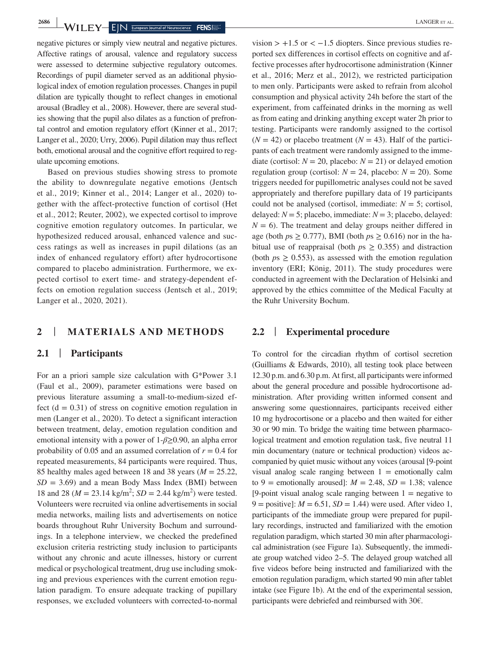negative pictures or simply view neutral and negative pictures. Affective ratings of arousal, valence and regulatory success were assessed to determine subjective regulatory outcomes. Recordings of pupil diameter served as an additional physiological index of emotion regulation processes. Changes in pupil dilation are typically thought to reflect changes in emotional arousal (Bradley et al., 2008). However, there are several studies showing that the pupil also dilates as a function of prefrontal control and emotion regulatory effort (Kinner et al., 2017; Langer et al., 2020; Urry, 2006). Pupil dilation may thus reflect both, emotional arousal and the cognitive effort required to regulate upcoming emotions.

Based on previous studies showing stress to promote the ability to downregulate negative emotions (Jentsch et al., 2019; Kinner et al., 2014; Langer et al., 2020) together with the affect-protective function of cortisol (Het et al., 2012; Reuter, 2002), we expected cortisol to improve cognitive emotion regulatory outcomes. In particular, we hypothesized reduced arousal, enhanced valence and success ratings as well as increases in pupil dilations (as an index of enhanced regulatory effort) after hydrocortisone compared to placebo administration. Furthermore, we expected cortisol to exert time- and strategy-dependent effects on emotion regulation success (Jentsch et al., 2019; Langer et al., 2020, 2021).

# **2** | **MATERIALS AND METHODS**

# **2.1** | **Participants**

For an a priori sample size calculation with G\*Power 3.1 (Faul et al., 2009), parameter estimations were based on previous literature assuming a small-to-medium-sized effect  $(d = 0.31)$  of stress on cognitive emotion regulation in men (Langer et al., 2020). To detect a significant interaction between treatment, delay, emotion regulation condition and emotional intensity with a power of 1-*β*≥0.90, an alpha error probability of 0.05 and an assumed correlation of  $r = 0.4$  for repeated measurements, 84 participants were required. Thus, 85 healthy males aged between 18 and 38 years (*M* = 25.22,  $SD = 3.69$ ) and a mean Body Mass Index (BMI) between 18 and 28 ( $M = 23.14$  kg/m<sup>2</sup>;  $SD = 2.44$  kg/m<sup>2</sup>) were tested. Volunteers were recruited via online advertisements in social media networks, mailing lists and advertisements on notice boards throughout Ruhr University Bochum and surroundings. In a telephone interview, we checked the predefined exclusion criteria restricting study inclusion to participants without any chronic and acute illnesses, history or current medical or psychological treatment, drug use including smoking and previous experiences with the current emotion regulation paradigm. To ensure adequate tracking of pupillary responses, we excluded volunteers with corrected-to-normal

vision  $> +1.5$  or  $< -1.5$  diopters. Since previous studies reported sex differences in cortisol effects on cognitive and affective processes after hydrocortisone administration (Kinner et al., 2016; Merz et al., 2012), we restricted participation to men only. Participants were asked to refrain from alcohol consumption and physical activity 24h before the start of the experiment, from caffeinated drinks in the morning as well as from eating and drinking anything except water 2h prior to testing. Participants were randomly assigned to the cortisol  $(N = 42)$  or placebo treatment  $(N = 43)$ . Half of the participants of each treatment were randomly assigned to the immediate (cortisol:  $N = 20$ , placebo:  $N = 21$ ) or delayed emotion regulation group (cortisol:  $N = 24$ , placebo:  $N = 20$ ). Some triggers needed for pupillometric analyses could not be saved appropriately and therefore pupillary data of 19 participants could not be analysed (cortisol, immediate:  $N = 5$ ; cortisol, delayed:  $N = 5$ ; placebo, immediate:  $N = 3$ ; placebo, delayed:  $N = 6$ ). The treatment and delay groups neither differed in age (both  $ps \geq 0.777$ ), BMI (both  $ps \geq 0.616$ ) nor in the habitual use of reappraisal (both  $p_s \geq 0.355$ ) and distraction (both  $p_s > 0.553$ ), as assessed with the emotion regulation inventory (ERI; König, 2011). The study procedures were conducted in agreement with the Declaration of Helsinki and approved by the ethics committee of the Medical Faculty at the Ruhr University Bochum.

# **2.2** | **Experimental procedure**

To control for the circadian rhythm of cortisol secretion (Guilliams & Edwards, 2010), all testing took place between 12.30 p.m. and 6.30 p.m. At first, all participants were informed about the general procedure and possible hydrocortisone administration. After providing written informed consent and answering some questionnaires, participants received either 10 mg hydrocortisone or a placebo and then waited for either 30 or 90 min. To bridge the waiting time between pharmacological treatment and emotion regulation task, five neutral 11 min documentary (nature or technical production) videos accompanied by quiet music without any voices (arousal [9-point visual analog scale ranging between  $1 =$  emotionally calm to 9 = emotionally aroused]:  $M = 2.48$ ,  $SD = 1.38$ ; valence [9-point visual analog scale ranging between  $1 =$  negative to  $9 =$  positive]:  $M = 6.51$ ,  $SD = 1.44$ ) were used. After video 1, participants of the immediate group were prepared for pupillary recordings, instructed and familiarized with the emotion regulation paradigm, which started 30 min after pharmacological administration (see Figure 1a). Subsequently, the immediate group watched video 2–5. The delayed group watched all five videos before being instructed and familiarized with the emotion regulation paradigm, which started 90 min after tablet intake (see Figure 1b). At the end of the experimental session, participants were debriefed and reimbursed with 30€.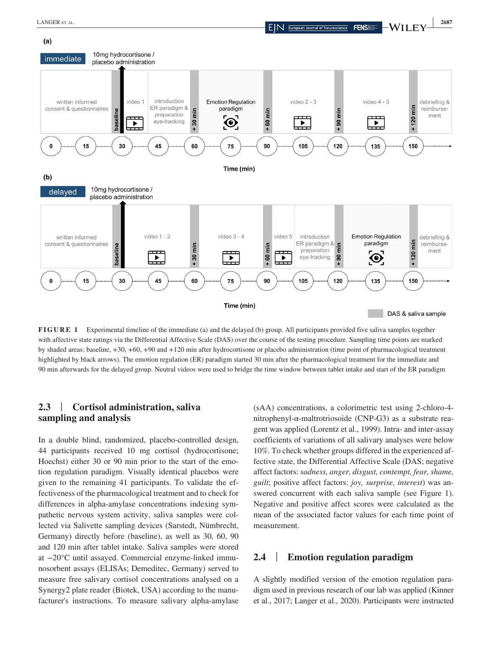

**FIGURE 1** Experimental timeline of the immediate (a) and the delayed (b) group. All participants provided five saliva samples together with affective state ratings via the Differential Affective Scale (DAS) over the course of the testing procedure. Sampling time points are marked by shaded areas: baseline, +30, +60, +90 and +120 min after hydrocortisone or placebo administration (time point of pharmacological treatment highlighted by black arrows). The emotion regulation (ER) paradigm started 30 min after the pharmacological treatment for the immediate and 90 min afterwards for the delayed group. Neutral videos were used to bridge the time window between tablet intake and start of the ER paradigm

# **2.3** | **Cortisol administration, saliva sampling and analysis**

In a double blind, randomized, placebo-controlled design, 44 participants received 10 mg cortisol (hydrocortisone; Hoechst) either 30 or 90 min prior to the start of the emotion regulation paradigm. Visually identical placebos were given to the remaining 41 participants. To validate the effectiveness of the pharmacological treatment and to check for differences in alpha-amylase concentrations indexing sympathetic nervous system activity, saliva samples were collected via Salivette sampling devices (Sarstedt, Nümbrecht, Germany) directly before (baseline), as well as 30, 60, 90 and 120 min after tablet intake. Saliva samples were stored at −20°C until assayed. Commercial enzyme-linked immunosorbent assays (ELISAs; Demeditec, Germany) served to measure free salivary cortisol concentrations analysed on a Synergy2 plate reader (Biotek, USA) according to the manufacturer's instructions. To measure salivary alpha-amylase

(sAA) concentrations, a colorimetric test using 2-chloro-4 nitrophenyl-α-maltrotriosoide (CNP-G3) as a substrate reagent was applied (Lorentz et al., 1999). Intra- and inter-assay coefficients of variations of all salivary analyses were below 10%. To check whether groups differed in the experienced affective state, the Differential Affective Scale (DAS; negative affect factors: *sadness, anger, disgust, contempt, fear, shame, guilt*; positive affect factors: *joy, surprise, interest*) was answered concurrent with each saliva sample (see Figure 1). Negative and positive affect scores were calculated as the mean of the associated factor values for each time point of measurement.

## **2.4** | **Emotion regulation paradigm**

A slightly modified version of the emotion regulation paradigm used in previous research of our lab was applied (Kinner et al., 2017; Langer et al., 2020). Participants were instructed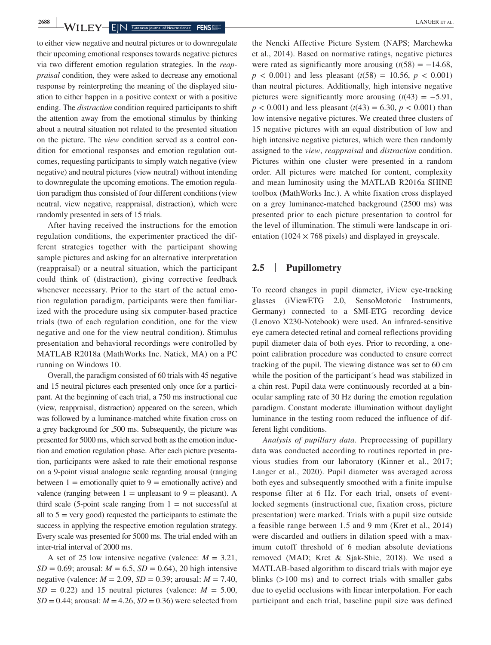**2688** WILEY EIN European Journal of Neuroscience **FENS** 

to either view negative and neutral pictures or to downregulate their upcoming emotional responses towards negative pictures via two different emotion regulation strategies. In the *reappraisal* condition, they were asked to decrease any emotional response by reinterpreting the meaning of the displayed situation to either happen in a positive context or with a positive ending. The *distraction* condition required participants to shift the attention away from the emotional stimulus by thinking about a neutral situation not related to the presented situation on the picture. The *view* condition served as a control condition for emotional responses and emotion regulation outcomes, requesting participants to simply watch negative (view negative) and neutral pictures (view neutral) without intending to downregulate the upcoming emotions. The emotion regulation paradigm thus consisted of four different conditions (view neutral, view negative, reappraisal, distraction), which were randomly presented in sets of 15 trials.

After having received the instructions for the emotion regulation conditions, the experimenter practiced the different strategies together with the participant showing sample pictures and asking for an alternative interpretation (reappraisal) or a neutral situation, which the participant could think of (distraction), giving corrective feedback whenever necessary. Prior to the start of the actual emotion regulation paradigm, participants were then familiarized with the procedure using six computer-based practice trials (two of each regulation condition, one for the view negative and one for the view neutral condition). Stimulus presentation and behavioral recordings were controlled by MATLAB R2018a (MathWorks Inc. Natick, MA) on a PC running on Windows 10.

Overall, the paradigm consisted of 60 trials with 45 negative and 15 neutral pictures each presented only once for a participant. At the beginning of each trial, a 750 ms instructional cue (view, reappraisal, distraction) appeared on the screen, which was followed by a luminance-matched white fixation cross on a grey background for ,500 ms. Subsequently, the picture was presented for 5000 ms, which served both as the emotion induction and emotion regulation phase. After each picture presentation, participants were asked to rate their emotional response on a 9-point visual analogue scale regarding arousal (ranging between  $1 =$  emotionally quiet to  $9 =$  emotionally active) and valence (ranging between  $1 =$  unpleasant to  $9 =$  pleasant). A third scale (5-point scale ranging from  $1 = not$  successful at all to  $5 = \text{very good}$  requested the participants to estimate the success in applying the respective emotion regulation strategy. Every scale was presented for 5000 ms. The trial ended with an inter-trial interval of 2000 ms.

A set of 25 low intensive negative (valence:  $M = 3.21$ , *SD* = 0.69; arousal:  $M = 6.5$ , *SD* = 0.64), 20 high intensive negative (valence: *M* = 2.09, *SD* = 0.39; arousal: *M* = 7.40,  $SD = 0.22$ ) and 15 neutral pictures (valence:  $M = 5.00$ ,  $SD = 0.44$ ; arousal:  $M = 4.26$ ,  $SD = 0.36$ ) were selected from

the Nencki Affective Picture System (NAPS; Marchewka et al., 2014). Based on normative ratings, negative pictures were rated as significantly more arousing  $(t(58) = -14.68$ ,  $p < 0.001$ ) and less pleasant ( $t(58) = 10.56$ ,  $p < 0.001$ ) than neutral pictures. Additionally, high intensive negative pictures were significantly more arousing  $(t(43) = -5.91$ ,  $p < 0.001$ ) and less pleasant ( $t(43) = 6.30$ ,  $p < 0.001$ ) than low intensive negative pictures. We created three clusters of 15 negative pictures with an equal distribution of low and high intensive negative pictures, which were then randomly assigned to the *view*, *reappraisal* and *distraction* condition. Pictures within one cluster were presented in a random order. All pictures were matched for content, complexity and mean luminosity using the MATLAB R2016a SHINE toolbox (MathWorks Inc.). A white fixation cross displayed on a grey luminance-matched background (2500 ms) was presented prior to each picture presentation to control for the level of illumination. The stimuli were landscape in orientation (1024  $\times$  768 pixels) and displayed in greyscale.

## **2.5** | **Pupillometry**

To record changes in pupil diameter, iView eye-tracking glasses (iViewETG 2.0, SensoMotoric Instruments, Germany) connected to a SMI-ETG recording device (Lenovo X230-Notebook) were used. An infrared-sensitive eye camera detected retinal and corneal reflections providing pupil diameter data of both eyes. Prior to recording, a onepoint calibration procedure was conducted to ensure correct tracking of the pupil. The viewing distance was set to 60 cm while the position of the participant´s head was stabilized in a chin rest. Pupil data were continuously recorded at a binocular sampling rate of 30 Hz during the emotion regulation paradigm. Constant moderate illumination without daylight luminance in the testing room reduced the influence of different light conditions.

*Analysis of pupillary data*. Preprocessing of pupillary data was conducted according to routines reported in previous studies from our laboratory (Kinner et al., 2017; Langer et al., 2020). Pupil diameter was averaged across both eyes and subsequently smoothed with a finite impulse response filter at 6 Hz. For each trial, onsets of eventlocked segments (instructional cue, fixation cross, picture presentation) were marked. Trials with a pupil size outside a feasible range between 1.5 and 9 mm (Kret et al., 2014) were discarded and outliers in dilation speed with a maximum cutoff threshold of 6 median absolute deviations removed (MAD; Kret & Sjak-Shie, 2018). We used a MATLAB-based algorithm to discard trials with major eye blinks (>100 ms) and to correct trials with smaller gabs due to eyelid occlusions with linear interpolation. For each participant and each trial, baseline pupil size was defined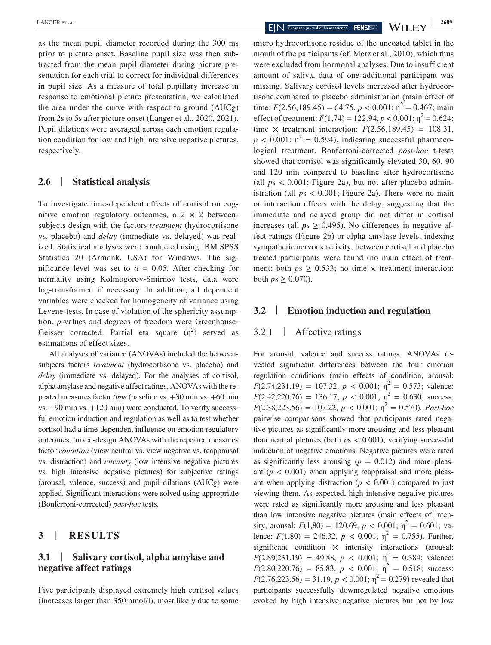as the mean pupil diameter recorded during the 300 ms prior to picture onset. Baseline pupil size was then subtracted from the mean pupil diameter during picture presentation for each trial to correct for individual differences in pupil size. As a measure of total pupillary increase in response to emotional picture presentation, we calculated the area under the curve with respect to ground (AUCg) from 2s to 5s after picture onset (Langer et al., 2020, 2021). Pupil dilations were averaged across each emotion regulation condition for low and high intensive negative pictures, respectively.

### **2.6** | **Statistical analysis**

To investigate time-dependent effects of cortisol on cognitive emotion regulatory outcomes, a  $2 \times 2$  betweensubjects design with the factors *treatment* (hydrocortisone vs. placebo) and *delay* (immediate vs. delayed) was realized. Statistical analyses were conducted using IBM SPSS Statistics 20 (Armonk, USA) for Windows. The significance level was set to  $\alpha = 0.05$ . After checking for normality using Kolmogorov-Smirnov tests, data were log-transformed if necessary. In addition, all dependent variables were checked for homogeneity of variance using Levene-tests. In case of violation of the sphericity assumption, *p*-values and degrees of freedom were Greenhouse-Geisser corrected. Partial eta square  $(\eta^2)$  served as estimations of effect sizes.

All analyses of variance (ANOVAs) included the betweensubjects factors *treatment* (hydrocortisone vs. placebo) and *delay* (immediate vs. delayed). For the analyses of cortisol, alpha amylase and negative affect ratings, ANOVAs with the repeated measures factor *time* (baseline vs. +30 min vs. +60 min vs. +90 min vs. +120 min) were conducted. To verify successful emotion induction and regulation as well as to test whether cortisol had a time-dependent influence on emotion regulatory outcomes, mixed-design ANOVAs with the repeated measures factor *condition* (view neutral vs. view negative vs. reappraisal vs. distraction) and *intensity* (low intensive negative pictures vs. high intensive negative pictures) for subjective ratings (arousal, valence, success) and pupil dilations (AUCg) were applied. Significant interactions were solved using appropriate (Bonferroni-corrected) *post-hoc* tests.

#### **3** | **RESULTS**

# **3.1** | **Salivary cortisol, alpha amylase and negative affect ratings**

Five participants displayed extremely high cortisol values (increases larger than 350 nmol/l), most likely due to some

micro hydrocortisone residue of the uncoated tablet in the mouth of the participants (cf. Merz et al., 2010), which thus were excluded from hormonal analyses. Due to insufficient amount of saliva, data of one additional participant was missing. Salivary cortisol levels increased after hydrocortisone compared to placebo administration (main effect of time:  $F(2.56, 189.45) = 64.75, p < 0.001; \eta^2 = 0.467; \text{main}$ effect of treatment:  $F(1,74) = 122.94, p < 0.001; \eta^2 = 0.624;$ time  $\times$  treatment interaction:  $F(2.56, 189.45) = 108.31$ ,  $p < 0.001$ ;  $\eta^2 = 0.594$ ), indicating successful pharmacological treatment. Bonferroni-corrected *post-hoc* t-tests showed that cortisol was significantly elevated 30, 60, 90 and 120 min compared to baseline after hydrocortisone (all  $ps < 0.001$ ; Figure 2a), but not after placebo administration (all  $ps < 0.001$ ; Figure 2a). There were no main or interaction effects with the delay, suggesting that the immediate and delayed group did not differ in cortisol increases (all  $ps \geq 0.495$ ). No differences in negative affect ratings (Figure 2b) or alpha-amylase levels, indexing sympathetic nervous activity, between cortisol and placebo treated participants were found (no main effect of treatment: both  $ps \ge 0.533$ ; no time  $\times$  treatment interaction: both  $ps \geq 0.070$ ).

### **3.2** | **Emotion induction and regulation**

## 3.2.1 | Affective ratings

For arousal, valence and success ratings, ANOVAs revealed significant differences between the four emotion regulation conditions (main effects of condition, arousal:  $F(2.74,231.19) = 107.32, p < 0.001; \eta^2 = 0.573$ ; valence:  $F(2.42,220.76) = 136.17, p < 0.001; \eta^2 = 0.630;$  success:  $F(2.38,223.56) = 107.22, p < 0.001; \eta^2 = 0.570$ . *Post-hoc* pairwise comparisons showed that participants rated negative pictures as significantly more arousing and less pleasant than neutral pictures (both *p*s < 0.001), verifying successful induction of negative emotions. Negative pictures were rated as significantly less arousing  $(p = 0.012)$  and more pleasant  $(p < 0.001)$  when applying reappraisal and more pleasant when applying distraction  $(p < 0.001)$  compared to just viewing them. As expected, high intensive negative pictures were rated as significantly more arousing and less pleasant than low intensive negative pictures (main effects of intensity, arousal:  $F(1,80) = 120.69$ ,  $p < 0.001$ ;  $\eta^2 = 0.601$ ; valence:  $F(1,80) = 246.32$ ,  $p < 0.001$ ;  $\eta^2 = 0.755$ ). Further, significant condition  $\times$  intensity interactions (arousal:  $F(2.89,231.19) = 49.88, p < 0.001; \eta^2 = 0.384; \text{ valence:}$  $F(2.80,220.76) = 85.83, p < 0.001; \eta^2 = 0.518$ ; success:  $F(2.76,223.56) = 31.19, p < 0.001; \eta^2 = 0.279$  revealed that participants successfully downregulated negative emotions evoked by high intensive negative pictures but not by low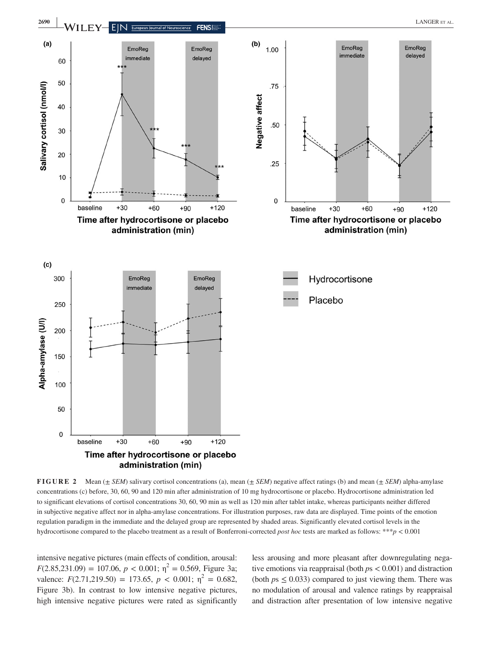

**FIGURE 2** Mean (± *SEM*) salivary cortisol concentrations (a), mean (± *SEM*) negative affect ratings (b) and mean (± *SEM*) alpha-amylase concentrations (c) before, 30, 60, 90 and 120 min after administration of 10 mg hydrocortisone or placebo. Hydrocortisone administration led to significant elevations of cortisol concentrations 30, 60, 90 min as well as 120 min after tablet intake, whereas participants neither differed in subjective negative affect nor in alpha-amylase concentrations. For illustration purposes, raw data are displayed. Time points of the emotion regulation paradigm in the immediate and the delayed group are represented by shaded areas. Significantly elevated cortisol levels in the hydrocortisone compared to the placebo treatment as a result of Bonferroni-corrected *post hoc* tests are marked as follows: \*\*\**p* < 0.001

intensive negative pictures (main effects of condition, arousal:  $F(2.85,231.09) = 107.06, p < 0.001; \eta^2 = 0.569$ , Figure 3a; valence:  $F(2.71,219.50) = 173.65, p < 0.001; \eta^2 = 0.682,$ Figure 3b). In contrast to low intensive negative pictures, high intensive negative pictures were rated as significantly

less arousing and more pleasant after downregulating negative emotions via reappraisal (both *p*s < 0.001) and distraction (both  $ps \leq 0.033$ ) compared to just viewing them. There was no modulation of arousal and valence ratings by reappraisal and distraction after presentation of low intensive negative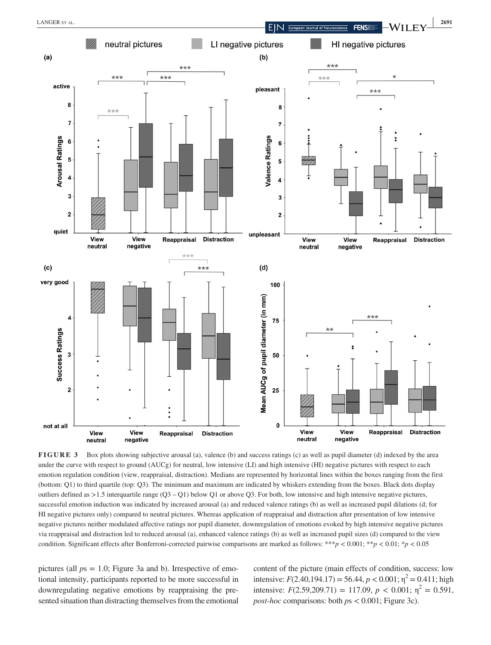

**FIGURE 3** Box plots showing subjective arousal (a), valence (b) and success ratings (c) as well as pupil diameter (d) indexed by the area under the curve with respect to ground (AUCg) for neutral, low intensive (LI) and high intensive (HI) negative pictures with respect to each emotion regulation condition (view, reappraisal, distraction). Medians are represented by horizontal lines within the boxes ranging from the first (bottom: Q1) to third quartile (top: Q3). The minimum and maximum are indicated by whiskers extending from the boxes. Black dots display outliers defined as  $>1.5$  interquartile range  $(03 - 01)$  below O1 or above 03. For both, low intensive and high intensive negative pictures, successful emotion induction was indicated by increased arousal (a) and reduced valence ratings (b) as well as increased pupil dilations (d; for HI negative pictures only) compared to neutral pictures. Whereas application of reappraisal and distraction after presentation of low intensive negative pictures neither modulated affective ratings nor pupil diameter, downregulation of emotions evoked by high intensive negative pictures via reappraisal and distraction led to reduced arousal (a), enhanced valence ratings (b) as well as increased pupil sizes (d) compared to the view condition. Significant effects after Bonferroni-corrected pairwise comparisons are marked as follows: \*\*\**p* < 0.001; \*\**p* < 0.01; \**p* < 0.05

pictures (all *p*s = 1.0; Figure 3a and b). Irrespective of emotional intensity, participants reported to be more successful in downregulating negative emotions by reappraising the presented situation than distracting themselves from the emotional content of the picture (main effects of condition, success: low intensive:  $F(2.40, 194.17) = 56.44, p < 0.001$ ;  $\eta^2 = 0.411$ ; high intensive:  $F(2.59,209.71) = 117.09$ ,  $p < 0.001$ ;  $\eta^2 = 0.591$ , *post-hoc* comparisons: both *p*s < 0.001; Figure 3c).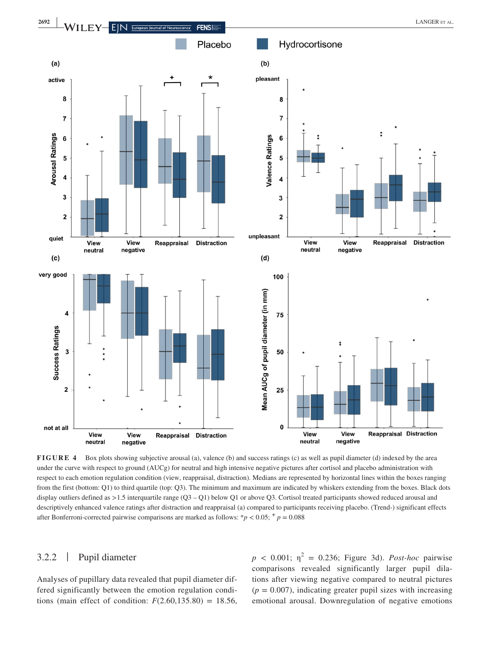

**FIGURE 4** Box plots showing subjective arousal (a), valence (b) and success ratings (c) as well as pupil diameter (d) indexed by the area under the curve with respect to ground (AUCg) for neutral and high intensive negative pictures after cortisol and placebo administration with respect to each emotion regulation condition (view, reappraisal, distraction). Medians are represented by horizontal lines within the boxes ranging from the first (bottom: Q1) to third quartile (top: Q3). The minimum and maximum are indicated by whiskers extending from the boxes. Black dots display outliers defined as >1.5 interquartile range (Q3 – Q1) below Q1 or above Q3. Cortisol treated participants showed reduced arousal and descriptively enhanced valence ratings after distraction and reappraisal (a) compared to participants receiving placebo. (Trend-) significant effects after Bonferroni-corrected pairwise comparisons are marked as follows: \* $p < 0.05$ ; \*  $p = 0.088$ 

# 3.2.2 | Pupil diameter

Analyses of pupillary data revealed that pupil diameter differed significantly between the emotion regulation conditions (main effect of condition:  $F(2.60, 135.80) = 18.56$ ,

 $p \lt 0.001$ ;  $\eta^2 = 0.236$ ; Figure 3d). *Post-hoc* pairwise comparisons revealed significantly larger pupil dilations after viewing negative compared to neutral pictures  $(p = 0.007)$ , indicating greater pupil sizes with increasing emotional arousal. Downregulation of negative emotions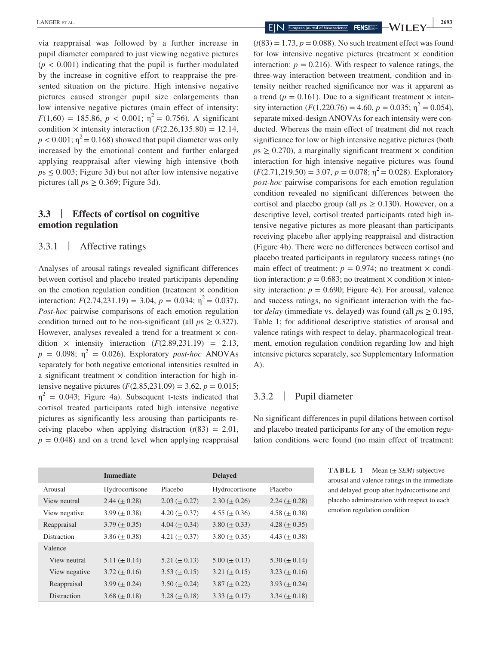via reappraisal was followed by a further increase in pupil diameter compared to just viewing negative pictures  $(p < 0.001)$  indicating that the pupil is further modulated by the increase in cognitive effort to reappraise the presented situation on the picture. High intensive negative pictures caused stronger pupil size enlargements than low intensive negative pictures (main effect of intensity:  $F(1,60) = 185.86, p < 0.001; \eta^2 = 0.756$ . A significant condition  $\times$  intensity interaction  $(F(2.26, 135.80) = 12.14,$  $p < 0.001$ ;  $\eta^2 = 0.168$ ) showed that pupil diameter was only increased by the emotional content and further enlarged applying reappraisal after viewing high intensive (both  $ps \leq 0.003$ ; Figure 3d) but not after low intensive negative pictures (all *p*s ≥ 0.369; Figure 3d).

# **3.3** | **Effects of cortisol on cognitive emotion regulation**

3.3.1 | Affective ratings

Analyses of arousal ratings revealed significant differences between cortisol and placebo treated participants depending on the emotion regulation condition (treatment  $\times$  condition interaction:  $F(2.74,231.19) = 3.04$ ,  $p = 0.034$ ;  $\eta^2 = 0.037$ ). *Post-hoc* pairwise comparisons of each emotion regulation condition turned out to be non-significant (all  $ps \geq 0.327$ ). However, analyses revealed a trend for a treatment  $\times$  condition  $\times$  intensity interaction  $(F(2.89, 231.19) = 2.13,$  $p = 0.098$ ;  $\eta^2 = 0.026$ ). Exploratory *post-hoc* ANOVAs separately for both negative emotional intensities resulted in a significant treatment  $\times$  condition interaction for high intensive negative pictures  $(F(2.85, 231.09) = 3.62, p = 0.015;$  $\eta^2$  = 0.043; Figure 4a). Subsequent t-tests indicated that cortisol treated participants rated high intensive negative pictures as significantly less arousing than participants receiving placebo when applying distraction  $(t(83) = 2.01$ ,  $p = 0.048$ ) and on a trend level when applying reappraisal

 $(t(83) = 1.73, p = 0.088)$ . No such treatment effect was found for low intensive negative pictures (treatment  $\times$  condition interaction:  $p = 0.216$ ). With respect to valence ratings, the three-way interaction between treatment, condition and intensity neither reached significance nor was it apparent as a trend ( $p = 0.161$ ). Due to a significant treatment  $\times$  intensity interaction  $(F(1,220.76) = 4.60, p = 0.035; \eta^2 = 0.054)$ , separate mixed-design ANOVAs for each intensity were conducted. Whereas the main effect of treatment did not reach significance for low or high intensive negative pictures (both  $p_s \geq 0.270$ , a marginally significant treatment  $\times$  condition interaction for high intensive negative pictures was found  $(F(2.71, 219.50) = 3.07, p = 0.078; \eta^2 = 0.028)$ . Exploratory *post-hoc* pairwise comparisons for each emotion regulation condition revealed no significant differences between the cortisol and placebo group (all  $ps \ge 0.130$ ). However, on a descriptive level, cortisol treated participants rated high intensive negative pictures as more pleasant than participants receiving placebo after applying reappraisal and distraction (Figure 4b). There were no differences between cortisol and placebo treated participants in regulatory success ratings (no main effect of treatment:  $p = 0.974$ ; no treatment  $\times$  condition interaction:  $p = 0.683$ ; no treatment  $\times$  condition  $\times$  intensity interaction:  $p = 0.690$ ; Figure 4c). For arousal, valence and success ratings, no significant interaction with the factor *delay* (immediate vs. delayed) was found (all *p*s ≥ 0.195, Table 1; for additional descriptive statistics of arousal and valence ratings with respect to delay, pharmacological treatment, emotion regulation condition regarding low and high intensive pictures separately, see Supplementary Information A).

# 3.3.2 | Pupil diameter

No significant differences in pupil dilations between cortisol and placebo treated participants for any of the emotion regulation conditions were found (no main effect of treatment:

|               | <b>Immediate</b>    |                     | <b>Delayed</b>      |                     |
|---------------|---------------------|---------------------|---------------------|---------------------|
| Arousal       | Hydrocortisone      | Placebo             | Hydrocortisone      | Placebo             |
| View neutral  | $2.44 \ (\pm 0.28)$ | $2.03 \ (\pm 0.27)$ | $2.30 \ (\pm 0.26)$ | $2.24 \ (\pm 0.28)$ |
| View negative | $3.99 \ (\pm 0.38)$ | $4.20 \ (\pm 0.37)$ | $4.55 \ (\pm 0.36)$ | 4.58 ( $\pm$ 0.38)  |
| Reappraisal   | $3.79 \ (\pm 0.35)$ | 4.04 ( $\pm$ 0.34)  | $3.80 \ (\pm 0.33)$ | 4.28 ( $\pm$ 0.35)  |
| Distraction   | $3.86 \ (\pm 0.38)$ | 4.21 ( $\pm$ 0.37)  | $3.80 \ (\pm 0.35)$ | 4.43 ( $\pm$ 0.38)  |
| Valence       |                     |                     |                     |                     |
| View neutral  | $5.11 (\pm 0.14)$   | 5.21 ( $\pm$ 0.13)  | $5.00 \ (\pm 0.13)$ | $5.30 \ (\pm 0.14)$ |
| View negative | $3.72 \ (\pm 0.16)$ | $3.53 \ (\pm 0.15)$ | $3.21 (\pm 0.15)$   | $3.23 \ (\pm 0.16)$ |
| Reappraisal   | 3.99 ( $\pm$ 0.24)  | $3.50 \ (\pm 0.24)$ | $3.87 \ (\pm 0.22)$ | $3.93 \ (\pm 0.24)$ |
| Distraction   | $3.68 \ (\pm 0.18)$ | $3.28 \ (\pm 0.18)$ | $3.33 \ (\pm 0.17)$ | $3.34 \ (\pm 0.18)$ |

**TABLE 1** Mean (± *SEM*) subjective arousal and valence ratings in the immediate and delayed group after hydrocortisone and placebo administration with respect to each emotion regulation condition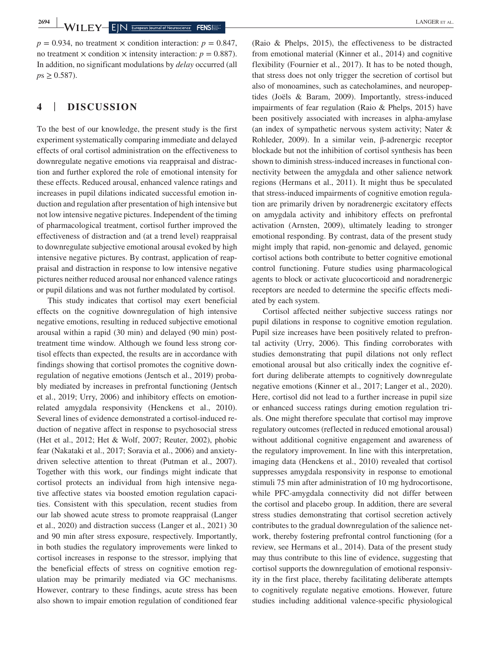$p = 0.934$ , no treatment  $\times$  condition interaction:  $p = 0.847$ , no treatment  $\times$  condition  $\times$  intensity interaction:  $p = 0.887$ ). In addition, no significant modulations by *delay* occurred (all  $p s \geq 0.587$ ).

# **4** | **DISCUSSION**

To the best of our knowledge, the present study is the first experiment systematically comparing immediate and delayed effects of oral cortisol administration on the effectiveness to downregulate negative emotions via reappraisal and distraction and further explored the role of emotional intensity for these effects. Reduced arousal, enhanced valence ratings and increases in pupil dilations indicated successful emotion induction and regulation after presentation of high intensive but not low intensive negative pictures. Independent of the timing of pharmacological treatment, cortisol further improved the effectiveness of distraction and (at a trend level) reappraisal to downregulate subjective emotional arousal evoked by high intensive negative pictures. By contrast, application of reappraisal and distraction in response to low intensive negative pictures neither reduced arousal nor enhanced valence ratings or pupil dilations and was not further modulated by cortisol.

This study indicates that cortisol may exert beneficial effects on the cognitive downregulation of high intensive negative emotions, resulting in reduced subjective emotional arousal within a rapid (30 min) and delayed (90 min) posttreatment time window. Although we found less strong cortisol effects than expected, the results are in accordance with findings showing that cortisol promotes the cognitive downregulation of negative emotions (Jentsch et al., 2019) probably mediated by increases in prefrontal functioning (Jentsch et al., 2019; Urry, 2006) and inhibitory effects on emotionrelated amygdala responsivity (Henckens et al., 2010). Several lines of evidence demonstrated a cortisol-induced reduction of negative affect in response to psychosocial stress (Het et al., 2012; Het & Wolf, 2007; Reuter, 2002), phobic fear (Nakataki et al., 2017; Soravia et al., 2006) and anxietydriven selective attention to threat (Putman et al., 2007). Together with this work, our findings might indicate that cortisol protects an individual from high intensive negative affective states via boosted emotion regulation capacities. Consistent with this speculation, recent studies from our lab showed acute stress to promote reappraisal (Langer et al., 2020) and distraction success (Langer et al., 2021) 30 and 90 min after stress exposure, respectively. Importantly, in both studies the regulatory improvements were linked to cortisol increases in response to the stressor, implying that the beneficial effects of stress on cognitive emotion regulation may be primarily mediated via GC mechanisms. However, contrary to these findings, acute stress has been also shown to impair emotion regulation of conditioned fear (Raio & Phelps, 2015), the effectiveness to be distracted from emotional material (Kinner et al., 2014) and cognitive flexibility (Fournier et al., 2017). It has to be noted though, that stress does not only trigger the secretion of cortisol but also of monoamines, such as catecholamines, and neuropeptides (Joëls & Baram, 2009). Importantly, stress-induced impairments of fear regulation (Raio & Phelps, 2015) have been positively associated with increases in alpha-amylase (an index of sympathetic nervous system activity; Nater & Rohleder, 2009). In a similar vein, β-adrenergic receptor blockade but not the inhibition of cortisol synthesis has been shown to diminish stress-induced increases in functional connectivity between the amygdala and other salience network regions (Hermans et al., 2011). It might thus be speculated that stress-induced impairments of cognitive emotion regulation are primarily driven by noradrenergic excitatory effects on amygdala activity and inhibitory effects on prefrontal activation (Arnsten, 2009), ultimately leading to stronger emotional responding. By contrast, data of the present study might imply that rapid, non-genomic and delayed, genomic cortisol actions both contribute to better cognitive emotional control functioning. Future studies using pharmacological agents to block or activate glucocorticoid and noradrenergic receptors are needed to determine the specific effects mediated by each system.

Cortisol affected neither subjective success ratings nor pupil dilations in response to cognitive emotion regulation. Pupil size increases have been positively related to prefrontal activity (Urry, 2006). This finding corroborates with studies demonstrating that pupil dilations not only reflect emotional arousal but also critically index the cognitive effort during deliberate attempts to cognitively downregulate negative emotions (Kinner et al., 2017; Langer et al., 2020). Here, cortisol did not lead to a further increase in pupil size or enhanced success ratings during emotion regulation trials. One might therefore speculate that cortisol may improve regulatory outcomes (reflected in reduced emotional arousal) without additional cognitive engagement and awareness of the regulatory improvement. In line with this interpretation, imaging data (Henckens et al., 2010) revealed that cortisol suppresses amygdala responsivity in response to emotional stimuli 75 min after administration of 10 mg hydrocortisone, while PFC-amygdala connectivity did not differ between the cortisol and placebo group. In addition, there are several stress studies demonstrating that cortisol secretion actively contributes to the gradual downregulation of the salience network, thereby fostering prefrontal control functioning (for a review, see Hermans et al., 2014). Data of the present study may thus contribute to this line of evidence, suggesting that cortisol supports the downregulation of emotional responsivity in the first place, thereby facilitating deliberate attempts to cognitively regulate negative emotions. However, future studies including additional valence-specific physiological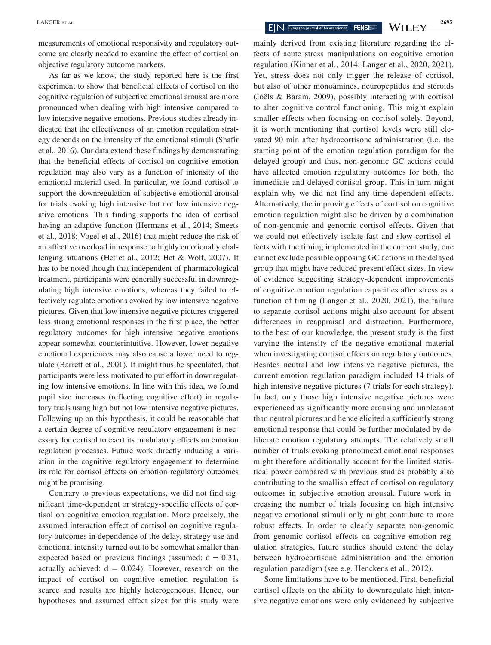measurements of emotional responsivity and regulatory outcome are clearly needed to examine the effect of cortisol on objective regulatory outcome markers.

As far as we know, the study reported here is the first experiment to show that beneficial effects of cortisol on the cognitive regulation of subjective emotional arousal are more pronounced when dealing with high intensive compared to low intensive negative emotions. Previous studies already indicated that the effectiveness of an emotion regulation strategy depends on the intensity of the emotional stimuli (Shafir et al., 2016). Our data extend these findings by demonstrating that the beneficial effects of cortisol on cognitive emotion regulation may also vary as a function of intensity of the emotional material used. In particular, we found cortisol to support the downregulation of subjective emotional arousal for trials evoking high intensive but not low intensive negative emotions. This finding supports the idea of cortisol having an adaptive function (Hermans et al., 2014; Smeets et al., 2018; Vogel et al., 2016) that might reduce the risk of an affective overload in response to highly emotionally challenging situations (Het et al., 2012; Het & Wolf, 2007). It has to be noted though that independent of pharmacological treatment, participants were generally successful in downregulating high intensive emotions, whereas they failed to effectively regulate emotions evoked by low intensive negative pictures. Given that low intensive negative pictures triggered less strong emotional responses in the first place, the better regulatory outcomes for high intensive negative emotions appear somewhat counterintuitive. However, lower negative emotional experiences may also cause a lower need to regulate (Barrett et al., 2001). It might thus be speculated, that participants were less motivated to put effort in downregulating low intensive emotions. In line with this idea, we found pupil size increases (reflecting cognitive effort) in regulatory trials using high but not low intensive negative pictures. Following up on this hypothesis, it could be reasonable that a certain degree of cognitive regulatory engagement is necessary for cortisol to exert its modulatory effects on emotion regulation processes. Future work directly inducing a variation in the cognitive regulatory engagement to determine its role for cortisol effects on emotion regulatory outcomes might be promising.

Contrary to previous expectations, we did not find significant time-dependent or strategy-specific effects of cortisol on cognitive emotion regulation. More precisely, the assumed interaction effect of cortisol on cognitive regulatory outcomes in dependence of the delay, strategy use and emotional intensity turned out to be somewhat smaller than expected based on previous findings (assumed:  $d = 0.31$ , actually achieved:  $d = 0.024$ ). However, research on the impact of cortisol on cognitive emotion regulation is scarce and results are highly heterogeneous. Hence, our hypotheses and assumed effect sizes for this study were

mainly derived from existing literature regarding the effects of acute stress manipulations on cognitive emotion regulation (Kinner et al., 2014; Langer et al., 2020, 2021). Yet, stress does not only trigger the release of cortisol, but also of other monoamines, neuropeptides and steroids (Joëls & Baram, 2009), possibly interacting with cortisol to alter cognitive control functioning. This might explain smaller effects when focusing on cortisol solely. Beyond, it is worth mentioning that cortisol levels were still elevated 90 min after hydrocortisone administration (i.e. the starting point of the emotion regulation paradigm for the delayed group) and thus, non-genomic GC actions could have affected emotion regulatory outcomes for both, the immediate and delayed cortisol group. This in turn might explain why we did not find any time-dependent effects. Alternatively, the improving effects of cortisol on cognitive emotion regulation might also be driven by a combination of non-genomic and genomic cortisol effects. Given that we could not effectively isolate fast and slow cortisol effects with the timing implemented in the current study, one cannot exclude possible opposing GC actions in the delayed group that might have reduced present effect sizes. In view of evidence suggesting strategy-dependent improvements of cognitive emotion regulation capacities after stress as a function of timing (Langer et al., 2020, 2021), the failure to separate cortisol actions might also account for absent differences in reappraisal and distraction. Furthermore, to the best of our knowledge, the present study is the first varying the intensity of the negative emotional material when investigating cortisol effects on regulatory outcomes. Besides neutral and low intensive negative pictures, the current emotion regulation paradigm included 14 trials of high intensive negative pictures (7 trials for each strategy). In fact, only those high intensive negative pictures were experienced as significantly more arousing and unpleasant than neutral pictures and hence elicited a sufficiently strong emotional response that could be further modulated by deliberate emotion regulatory attempts. The relatively small number of trials evoking pronounced emotional responses might therefore additionally account for the limited statistical power compared with previous studies probably also contributing to the smallish effect of cortisol on regulatory outcomes in subjective emotion arousal. Future work increasing the number of trials focusing on high intensive negative emotional stimuli only might contribute to more robust effects. In order to clearly separate non-genomic from genomic cortisol effects on cognitive emotion regulation strategies, future studies should extend the delay between hydrocortisone administration and the emotion regulation paradigm (see e.g. Henckens et al., 2012).

Some limitations have to be mentioned. First, beneficial cortisol effects on the ability to downregulate high intensive negative emotions were only evidenced by subjective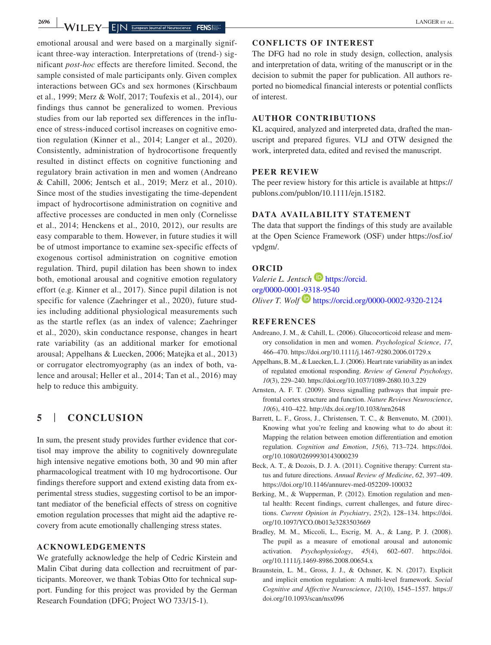emotional arousal and were based on a marginally significant three-way interaction. Interpretations of (trend-) significant *post-hoc* effects are therefore limited. Second, the sample consisted of male participants only. Given complex interactions between GCs and sex hormones (Kirschbaum et al., 1999; Merz & Wolf, 2017; Toufexis et al., 2014), our findings thus cannot be generalized to women. Previous studies from our lab reported sex differences in the influence of stress-induced cortisol increases on cognitive emotion regulation (Kinner et al., 2014; Langer et al., 2020). Consistently, administration of hydrocortisone frequently resulted in distinct effects on cognitive functioning and regulatory brain activation in men and women (Andreano & Cahill, 2006; Jentsch et al., 2019; Merz et al., 2010). Since most of the studies investigating the time-dependent impact of hydrocortisone administration on cognitive and affective processes are conducted in men only (Cornelisse et al., 2014; Henckens et al., 2010, 2012), our results are easy comparable to them. However, in future studies it will be of utmost importance to examine sex-specific effects of exogenous cortisol administration on cognitive emotion regulation. Third, pupil dilation has been shown to index both, emotional arousal and cognitive emotion regulatory effort (e.g. Kinner et al., 2017). Since pupil dilation is not specific for valence (Zaehringer et al., 2020), future studies including additional physiological measurements such as the startle reflex (as an index of valence; Zaehringer et al., 2020), skin conductance response, changes in heart rate variability (as an additional marker for emotional arousal; Appelhans & Luecken, 2006; Matejka et al., 2013) or corrugator electromyography (as an index of both, valence and arousal; Heller et al., 2014; Tan et al., 2016) may help to reduce this ambiguity.

# **5** | **CONCLUSION**

In sum, the present study provides further evidence that cortisol may improve the ability to cognitively downregulate high intensive negative emotions both, 30 and 90 min after pharmacological treatment with 10 mg hydrocortisone. Our findings therefore support and extend existing data from experimental stress studies, suggesting cortisol to be an important mediator of the beneficial effects of stress on cognitive emotion regulation processes that might aid the adaptive recovery from acute emotionally challenging stress states.

#### **ACKNOWLEDGEMENTS**

We gratefully acknowledge the help of Cedric Kirstein and Malin Cibat during data collection and recruitment of participants. Moreover, we thank Tobias Otto for technical support. Funding for this project was provided by the German Research Foundation (DFG; Project WO 733/15-1).

#### **CONFLICTS OF INTEREST**

The DFG had no role in study design, collection, analysis and interpretation of data, writing of the manuscript or in the decision to submit the paper for publication. All authors reported no biomedical financial interests or potential conflicts of interest.

#### **AUTHOR CONTRIBUTIONS**

KL acquired, analyzed and interpreted data, drafted the manuscript and prepared figures. VLJ and OTW designed the work, interpreted data, edited and revised the manuscript.

#### **PEER REVIEW**

The peer review history for this article is available at [https://](https://publons.com/publon/10.1111/ejn.15182) [publons.com/publon/10.1111/ejn.15182.](https://publons.com/publon/10.1111/ejn.15182)

#### **DATA AVAILABILITY STATEMENT**

The data that support the findings of this study are available at the Open Science Framework (OSF) under [https://osf.io/](https://osf.io/vpdgm/) [vpdgm/](https://osf.io/vpdgm/).

#### **ORCID**

*Valerie L. Jentsch* [https://orcid.](https://orcid.org/0000-0001-9318-9540) [org/0000-0001-9318-9540](https://orcid.org/0000-0001-9318-9540) *Oliver T. Wolf* <https://orcid.org/0000-0002-9320-2124>

#### **REFERENCES**

- Andreano, J. M., & Cahill, L. (2006). Glucocorticoid release and memory consolidation in men and women. *Psychological Science*, *17*, 466–470. <https://doi.org/10.1111/j.1467-9280.2006.01729.x>
- Appelhans, B. M., & Luecken, L. J. (2006). Heart rate variability as an index of regulated emotional responding. *Review of General Psychology*, *10*(3), 229–240.<https://doi.org/10.1037/1089-2680.10.3.229>
- Arnsten, A. F. T. (2009). Stress signalling pathways that impair prefrontal cortex structure and function. *Nature Reviews Neuroscience*, *10*(6), 410–422.<http://dx.doi.org/10.1038/nrn2648>
- Barrett, L. F., Gross, J., Christensen, T. C., & Benvenuto, M. (2001). Knowing what you're feeling and knowing what to do about it: Mapping the relation between emotion differentiation and emotion regulation. *Cognition and Emotion*, *15*(6), 713–724. [https://doi.](https://doi.org/10.1080/02699930143000239) [org/10.1080/02699930143000239](https://doi.org/10.1080/02699930143000239)
- Beck, A. T., & Dozois, D. J. A. (2011). Cognitive therapy: Current status and future directions. *Annual Review of Medicine*, *62*, 397–409. <https://doi.org/10.1146/annurev-med-052209-100032>
- Berking, M., & Wupperman, P. (2012). Emotion regulation and mental health: Recent findings, current challenges, and future directions. *Current Opinion in Psychiatry*, *25*(2), 128–134. [https://doi.](https://doi.org/10.1097/YCO.0b013e3283503669) [org/10.1097/YCO.0b013e3283503669](https://doi.org/10.1097/YCO.0b013e3283503669)
- Bradley, M. M., Miccoli, L., Escrig, M. A., & Lang, P. J. (2008). The pupil as a measure of emotional arousal and autonomic activation. *Psychophysiology*, *45*(4), 602–607. [https://doi.](https://doi.org/10.1111/j.1469-8986.2008.00654.x) [org/10.1111/j.1469-8986.2008.00654.x](https://doi.org/10.1111/j.1469-8986.2008.00654.x)
- Braunstein, L. M., Gross, J. J., & Ochsner, K. N. (2017). Explicit and implicit emotion regulation: A multi-level framework. *Social Cognitive and Affective Neuroscience*, *12*(10), 1545–1557. [https://](https://doi.org/10.1093/scan/nsx096) [doi.org/10.1093/scan/nsx096](https://doi.org/10.1093/scan/nsx096)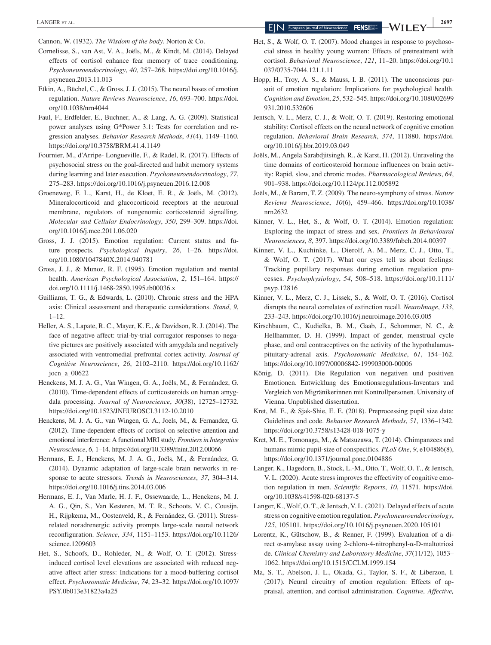Cannon, W. (1932). *The Wisdom of the body*. Norton & Co.

- Cornelisse, S., van Ast, V. A., Joëls, M., & Kindt, M. (2014). Delayed effects of cortisol enhance fear memory of trace conditioning. *Psychoneuroendocrinology*, *40*, 257–268. [https://doi.org/10.1016/j.](https://doi.org/10.1016/j.psyneuen.2013.11.013) [psyneuen.2013.11.013](https://doi.org/10.1016/j.psyneuen.2013.11.013)
- Etkin, A., Büchel, C., & Gross, J. J. (2015). The neural bases of emotion regulation. *Nature Reviews Neuroscience*, *16*, 693–700. [https://doi.](https://doi.org/10.1038/nrn4044) [org/10.1038/nrn4044](https://doi.org/10.1038/nrn4044)
- Faul, F., Erdfelder, E., Buchner, A., & Lang, A. G. (2009). Statistical power analyses using G\*Power 3.1: Tests for correlation and regression analyses. *Behavior Research Methods*, *41*(4), 1149–1160. <https://doi.org/10.3758/BRM.41.4.1149>
- Fournier, M., d'Arripe- Longueville, F., & Radel, R. (2017). Effects of psychosocial stress on the goal-directed and habit memory systems during learning and later execution. *Psychoneuroendocrinology*, *77*, 275–283.<https://doi.org/10.1016/j.psyneuen.2016.12.008>
- Groeneweg, F. L., Karst, H., de Kloet, E. R., & Joëls, M. (2012). Mineralocorticoid and glucocorticoid receptors at the neuronal membrane, regulators of nongenomic corticosteroid signalling. *Molecular and Cellular Endocrinology*, *350*, 299–309. [https://doi.](https://doi.org/10.1016/j.mce.2011.06.020) [org/10.1016/j.mce.2011.06.020](https://doi.org/10.1016/j.mce.2011.06.020)
- Gross, J. J. (2015). Emotion regulation: Current status and future prospects. *Psychological Inquiry*, *26*, 1–26. [https://doi.](https://doi.org/10.1080/1047840X.2014.940781) [org/10.1080/1047840X.2014.940781](https://doi.org/10.1080/1047840X.2014.940781)
- Gross, J. J., & Munoz, R. F. (1995). Emotion regulation and mental health. *American Psychological Association*, *2*, 151–164. [https://](https://doi.org/10.1111/j.1468-2850.1995.tb00036.x) [doi.org/10.1111/j.1468-2850.1995.tb00036.x](https://doi.org/10.1111/j.1468-2850.1995.tb00036.x)
- Guilliams, T. G., & Edwards, L. (2010). Chronic stress and the HPA axis: Clinical assessment and therapeutic considerations. *Stand*, *9*,  $1 - 12$ .
- Heller, A. S., Lapate, R. C., Mayer, K. E., & Davidson, R. J. (2014). The face of negative affect: trial-by-trial corrugator responses to negative pictures are positively associated with amygdala and negatively associated with ventromedial prefrontal cortex activity. *Journal of Cognitive Neuroscience*, *26*, 2102–2110. [https://doi.org/10.1162/](https://doi.org/10.1162/jocn_a_00622) [jocn\\_a\\_00622](https://doi.org/10.1162/jocn_a_00622)
- Henckens, M. J. A. G., Van Wingen, G. A., Joëls, M., & Fernández, G. (2010). Time-dependent effects of corticosteroids on human amygdala processing. *Journal of Neuroscience*, *30*(38), 12725–12732. <https://doi.org/10.1523/JNEUROSCI.3112-10.2010>
- Henckens, M. J. A. G., van Wingen, G. A., Joels, M., & Fernandez, G. (2012). Time-dependent effects of cortisol on selective attention and emotional interference: A functional MRI study. *Frontiers in Integrative Neuroscience*, *6*, 1–14.<https://doi.org/10.3389/fnint.2012.00066>
- Hermans, E. J., Henckens, M. J. A. G., Joëls, M., & Fernández, G. (2014). Dynamic adaptation of large-scale brain networks in response to acute stressors. *Trends in Neurosciences*, *37*, 304–314. <https://doi.org/10.1016/j.tins.2014.03.006>
- Hermans, E. J., Van Marle, H. J. F., Ossewaarde, L., Henckens, M. J. A. G., Qin, S., Van Kesteren, M. T. R., Schoots, V. C., Cousijn, H., Rijpkema, M., Oostenveld, R., & Fernández, G. (2011). Stressrelated noradrenergic activity prompts large-scale neural network reconfiguration. *Science*, *334*, 1151–1153. [https://doi.org/10.1126/](https://doi.org/10.1126/science.1209603) [science.1209603](https://doi.org/10.1126/science.1209603)
- Het, S., Schoofs, D., Rohleder, N., & Wolf, O. T. (2012). Stressinduced cortisol level elevations are associated with reduced negative affect after stress: Indications for a mood-buffering cortisol effect. *Psychosomatic Medicine*, *74*, 23–32. [https://doi.org/10.1097/](https://doi.org/10.1097/PSY.0b013e31823a4a25) [PSY.0b013e31823a4a25](https://doi.org/10.1097/PSY.0b013e31823a4a25)
- Het, S., & Wolf, O. T. (2007). Mood changes in response to psychosocial stress in healthy young women: Effects of pretreatment with cortisol. *Behavioral Neuroscience*, *121*, 11–20. [https://doi.org/10.1](https://doi.org/10.1037/0735-7044.121.1.11) [037/0735-7044.121.1.11](https://doi.org/10.1037/0735-7044.121.1.11)
- Hopp, H., Troy, A. S., & Mauss, I. B. (2011). The unconscious pursuit of emotion regulation: Implications for psychological health. *Cognition and Emotion*, *25*, 532–545. [https://doi.org/10.1080/02699](https://doi.org/10.1080/02699931.2010.532606) [931.2010.532606](https://doi.org/10.1080/02699931.2010.532606)
- Jentsch, V. L., Merz, C. J., & Wolf, O. T. (2019). Restoring emotional stability: Cortisol effects on the neural network of cognitive emotion regulation. *Behavioral Brain Research*, *374*, 111880. [https://doi.](https://doi.org/10.1016/j.bbr.2019.03.049) [org/10.1016/j.bbr.2019.03.049](https://doi.org/10.1016/j.bbr.2019.03.049)
- Joëls, M., Angela Sarabdjitsingh, R., & Karst, H. (2012). Unraveling the time domains of corticosteroid hormone influences on brain activity: Rapid, slow, and chronic modes. *Pharmacological Reviews*, *64*, 901–938. <https://doi.org/10.1124/pr.112.005892>
- Joëls, M., & Baram, T. Z. (2009). The neuro-symphony of stress. *Nature Reviews Neuroscience*, *10*(6), 459–466. [https://doi.org/10.1038/](https://doi.org/10.1038/nrn2632) [nrn2632](https://doi.org/10.1038/nrn2632)
- Kinner, V. L., Het, S., & Wolf, O. T. (2014). Emotion regulation: Exploring the impact of stress and sex. *Frontiers in Behavioural Neurosciences*, *8*, 397.<https://doi.org/10.3389/fnbeh.2014.00397>
- Kinner, V. L., Kuchinke, L., Dierolf, A. M., Merz, C. J., Otto, T., & Wolf, O. T. (2017). What our eyes tell us about feelings: Tracking pupillary responses during emotion regulation processes. *Psychophysiology*, *54*, 508–518. [https://doi.org/10.1111/](https://doi.org/10.1111/psyp.12816) [psyp.12816](https://doi.org/10.1111/psyp.12816)
- Kinner, V. L., Merz, C. J., Lissek, S., & Wolf, O. T. (2016). Cortisol disrupts the neural correlates of extinction recall. *NeuroImage*, *133*, 233–243. <https://doi.org/10.1016/j.neuroimage.2016.03.005>
- Kirschbaum, C., Kudielka, B. M., Gaab, J., Schommer, N. C., & Hellhammer, D. H. (1999). Impact of gender, menstrual cycle phase, and oral contraceptives on the activity of the hypothalamuspituitary-adrenal axis. *Psychosomatic Medicine*, *61*, 154–162. <https://doi.org/10.1097/00006842-199903000-00006>
- König, D. (2011). Die Regulation von negativen und positiven Emotionen. Entwicklung des Emotionsregulations-Inventars und Vergleich von Migränikerinnen mit Kontrollpersonen. University of Vienna. Unpublished dissertation.
- Kret, M. E., & Sjak-Shie, E. E. (2018). Preprocessing pupil size data: Guidelines and code. *Behavior Research Methods*, *51*, 1336–1342. <https://doi.org/10.3758/s13428-018-1075-y>
- Kret, M. E., Tomonaga, M., & Matsuzawa, T. (2014). Chimpanzees and humans mimic pupil-size of conspecifics. *PLoS One*, *9*, e104886(8), <https://doi.org/10.1371/journal.pone.0104886>
- Langer, K., Hagedorn, B., Stock, L.-M., Otto, T., Wolf, O. T., & Jentsch, V. L. (2020). Acute stress improves the effectivity of cognitive emotion regulation in men. *Scientific Reports*, *10*, 11571. [https://doi.](https://doi.org/10.1038/s41598-020-68137-5) [org/10.1038/s41598-020-68137-5](https://doi.org/10.1038/s41598-020-68137-5)
- Langer, K., Wolf, O. T., & Jentsch, V. L. (2021). Delayed effects of acute stress on cognitive emotion regulation. *Psychoneuroendocrinology*, *125*, 105101.<https://doi.org/10.1016/j.psyneuen.2020.105101>
- Lorentz, K., Gütschow, B., & Renner, F. (1999). Evaluation of a direct α-amylase assay using 2-chloro-4-nitrophenyl-α-D-maltotriosi de. *Clinical Chemistry and Laboratory Medicine*, *37*(11/12), 1053– 1062. <https://doi.org/10.1515/CCLM.1999.154>
- Ma, S. T., Abelson, J. L., Okada, G., Taylor, S. F., & Liberzon, I. (2017). Neural circuitry of emotion regulation: Effects of appraisal, attention, and cortisol administration. *Cognitive, Affective,*